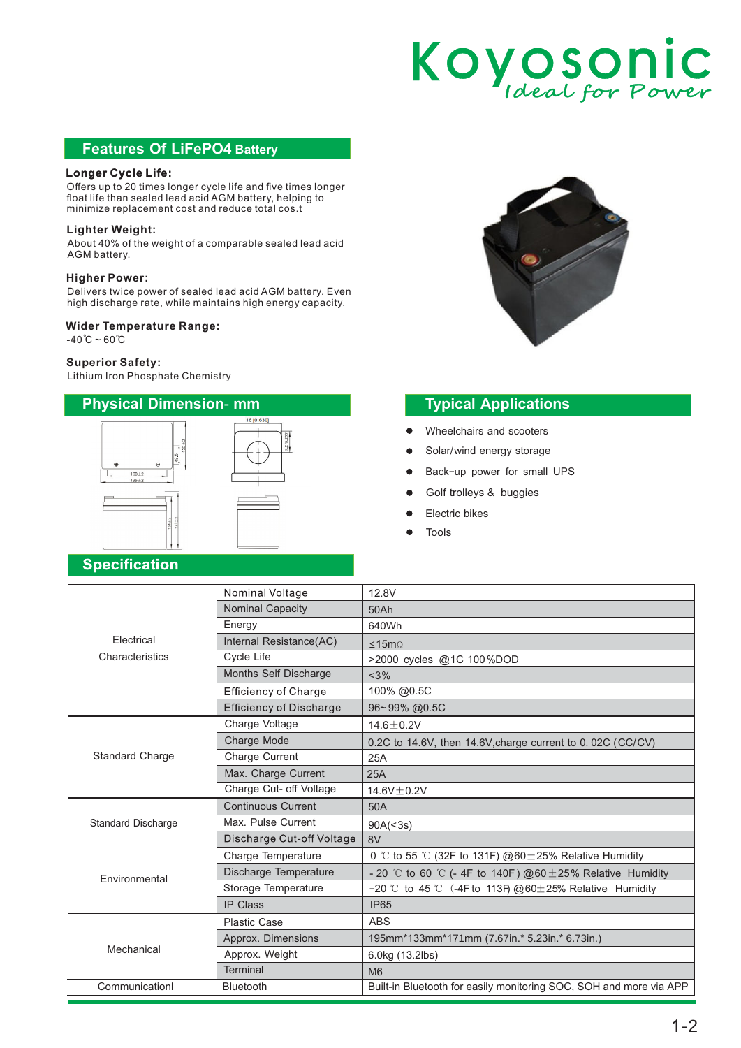# Koyosonic

## **Features Of LiFePO4 Battery**

### **Longer Cycle Life:**

Offers up to 20 times longer cycle life and five times longer float life than sealed lead acid AGM battery, helping to minimize replacement cost and reduce total cos.t

#### **Lighter Weight:**

About 40% of the weight of a comparable sealed lead acid AGM battery.

#### **Higher Power:**

Delivers twice power of sealed lead acid AGM battery. Even high discharge rate, while maintains high energy capacity.

#### **Wider Temperature Range:**

 $-40^{\circ}C - 60^{\circ}C$ 

#### **Superior Safety:**

Lithium Iron Phosphate Chemistry



# **Typical Applications**

- Wheelchairs and scooters  $\bullet$
- Solar/wind energy storage
- Back-up power for small UPS
- Golf trolleys & buggies
- Electric bikes
- Tools

# **Specification**

|                           | Nominal Voltage                | 12.8V                                                              |
|---------------------------|--------------------------------|--------------------------------------------------------------------|
|                           | Nominal Capacity               | 50Ah                                                               |
|                           | Energy                         | 640Wh                                                              |
| Electrical                | Internal Resistance(AC)        | ≤15mΩ                                                              |
| Characteristics           | Cycle Life                     | >2000 cycles @1C 100%DOD                                           |
|                           | Months Self Discharge          | <3%                                                                |
|                           | <b>Efficiency of Charge</b>    | 100% @0.5C                                                         |
|                           | <b>Efficiency of Discharge</b> | 96~99% @0.5C                                                       |
| <b>Standard Charge</b>    | Charge Voltage                 | $14.6 \pm 0.2V$                                                    |
|                           | Charge Mode                    | 0.2C to 14.6V, then 14.6V, charge current to 0.02C (CC/CV)         |
|                           | Charge Current                 | 25A                                                                |
|                           | Max. Charge Current            | 25A                                                                |
|                           | Charge Cut- off Voltage        | 14.6V $\pm$ 0.2V                                                   |
| <b>Standard Discharge</b> | <b>Continuous Current</b>      | 50A                                                                |
|                           | Max. Pulse Current             | 90A(<3s)                                                           |
|                           | Discharge Cut-off Voltage      | 8V                                                                 |
| Environmental             | Charge Temperature             | 0 °C to 55 °C (32F to 131F) @60 $\pm$ 25% Relative Humidity        |
|                           | Discharge Temperature          | - 20 °C to 60 °C (- 4F to 140F) @60 $\pm$ 25% Relative Humidity    |
|                           | Storage Temperature            | $-20$ °C to 45 °C (-4F to 113F) @60±25% Relative Humidity          |
|                           | <b>IP Class</b>                | <b>IP65</b>                                                        |
| Mechanical                | <b>Plastic Case</b>            | <b>ABS</b>                                                         |
|                           | Approx. Dimensions             | 195mm*133mm*171mm (7.67in.* 5.23in.* 6.73in.)                      |
|                           | Approx. Weight                 | 6.0kg (13.2lbs)                                                    |
|                           | <b>Terminal</b>                | M6                                                                 |
| Communicationl            | <b>Bluetooth</b>               | Built-in Bluetooth for easily monitoring SOC, SOH and more via APP |